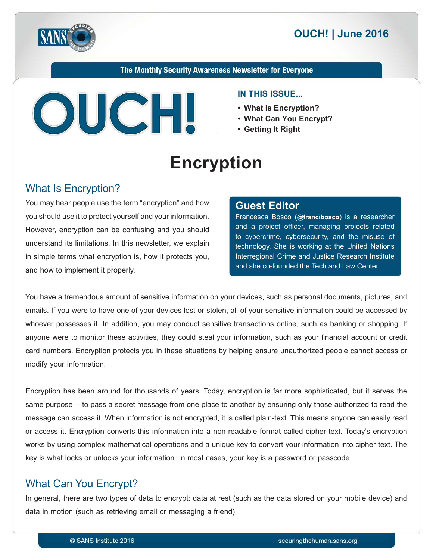



#### The Monthly Security Awareness Newsletter for Everyone



#### **IN THIS ISSUE...**

- What Is Encryption?
- What Can You Encrypt?
- **Getting It Right**

# **Encryption**

#### What Is Encryption?

You may hear people use the term "encryption" and how you should use it to protect yourself and your information. However, encryption can be confusing and you should understand its limitations. In this newsletter, we explain in simple terms what encryption is, how it protects you, and how to implement it properly.

#### **Editor Guest**

Francesca Bosco (@[francibosco](https://twitter.com/francibosco?ref_src=twsrc^google|twcamp^serp|twgr^author)) is a researcher and a project officer, managing projects related to cybercrime, cybersecurity, and the misuse of technology. She is working at the United Nations Interregional Crime and Justice Research Institute and she co-founded the Tech and Law Center.

You have a tremendous amount of sensitive information on your devices, such as personal documents, pictures, and emails. If you were to have one of your devices lost or stolen, all of your sensitive information could be accessed by whoever possesses it. In addition, you may conduct sensitive transactions online, such as banking or shopping. If anyone were to monitor these activities, they could steal your information, such as your financial account or credit card numbers. Encryption protects you in these situations by helping ensure unauthorized people cannot access or modify your information.

Encryption has been around for thousands of years. Today, encryption is far more sophisticated, but it serves the same purpose -- to pass a secret message from one place to another by ensuring only those authorized to read the message can access it. When information is not encrypted, it is called plain-text. This means anyone can easily read or access it. Encryption converts this information into a non-readable format called cipher-text. Today's encryption works by using complex mathematical operations and a unique key to convert your information into cipher-text. The key is what locks or unlocks your information. In most cases, your key is a password or passcode.

# What Can You Encrypt?

In general, there are two types of data to encrypt: data at rest (such as the data stored on your mobile device) and data in motion (such as retrieving email or messaging a friend).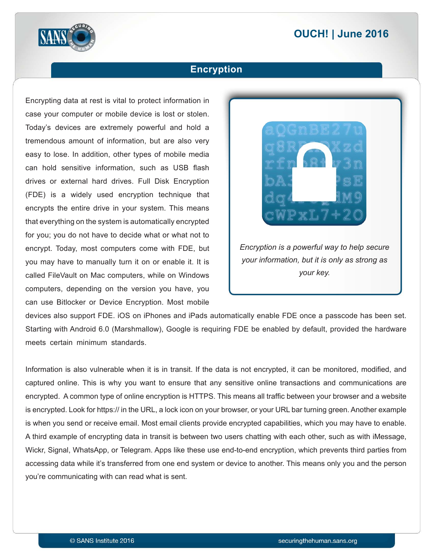# **2016 | OUCH! | June 2016**



#### **Encryption**

Encrypting data at rest is vital to protect information in case your computer or mobile device is lost or stolen. Today's devices are extremely powerful and hold a tremendous amount of information, but are also very easy to lose. In addition, other types of mobile media can hold sensitive information, such as USB flash drives or external hard drives. Full Disk Encryption (FDE) is a widely used encryption technique that encrypts the entire drive in your system. This means that everything on the system is automatically encrypted for you; you do not have to decide what or what not to encrypt. Today, most computers come with FDE, but you may have to manually turn it on or enable it. It is called FileVault on Mac computers, while on Windows computers, depending on the version you have, you can use Bitlocker or Device Encryption. Most mobile



devices also support FDE. iOS on iPhones and iPads automatically enable FDE once a passcode has been set. Starting with Android 6.0 (Marshmallow), Google is requiring FDE be enabled by default, provided the hardware meets certain minimum standards.

Information is also vulnerable when it is in transit. If the data is not encrypted, it can be monitored, modified, and captured online. This is why you want to ensure that any sensitive online transactions and communications are encrypted. A common type of online encryption is HTTPS. This means all traffic between your browser and a website is encrypted. Look for https:// in the URL, a lock icon on your browser, or your URL bar turning green. Another example is when you send or receive email. Most email clients provide encrypted capabilities, which you may have to enable. A third example of encrypting data in transit is between two users chatting with each other, such as with iMessage, Wickr, Signal, WhatsApp, or Telegram. Apps like these use end-to-end encryption, which prevents third parties from accessing data while it's transferred from one end system or device to another. This means only you and the person you're communicating with can read what is sent.